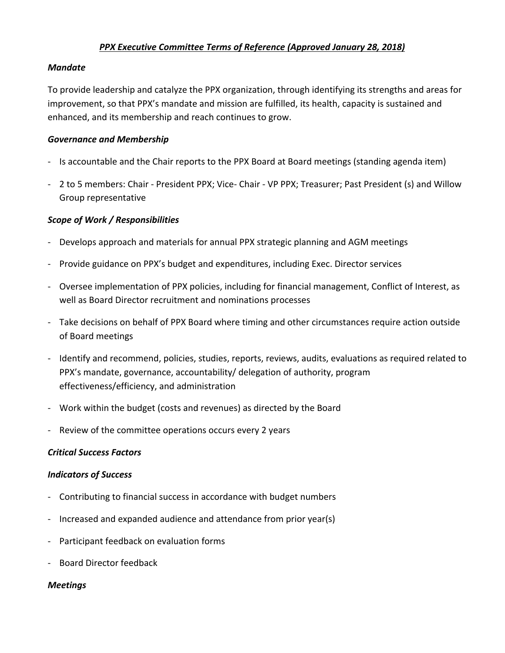# *PPX Executive Committee Terms of Reference (Approved January 28, 2018)*

#### *Mandate*

To provide leadership and catalyze the PPX organization, through identifying its strengths and areas for improvement, so that PPX's mandate and mission are fulfilled, its health, capacity is sustained and enhanced, and its membership and reach continues to grow.

#### *Governance and Membership*

- Is accountable and the Chair reports to the PPX Board at Board meetings (standing agenda item)
- 2 to 5 members: Chair President PPX; Vice- Chair VP PPX; Treasurer; Past President (s) and Willow Group representative

## *Scope of Work / Responsibilities*

- Develops approach and materials for annual PPX strategic planning and AGM meetings
- Provide guidance on PPX's budget and expenditures, including Exec. Director services
- Oversee implementation of PPX policies, including for financial management, Conflict of Interest, as well as Board Director recruitment and nominations processes
- Take decisions on behalf of PPX Board where timing and other circumstances require action outside of Board meetings
- Identify and recommend, policies, studies, reports, reviews, audits, evaluations as required related to PPX's mandate, governance, accountability/ delegation of authority, program effectiveness/efficiency, and administration
- Work within the budget (costs and revenues) as directed by the Board
- Review of the committee operations occurs every 2 years

## *Critical Success Factors*

## *Indicators of Success*

- Contributing to financial success in accordance with budget numbers
- Increased and expanded audience and attendance from prior year(s)
- Participant feedback on evaluation forms
- Board Director feedback

## *Meetings*